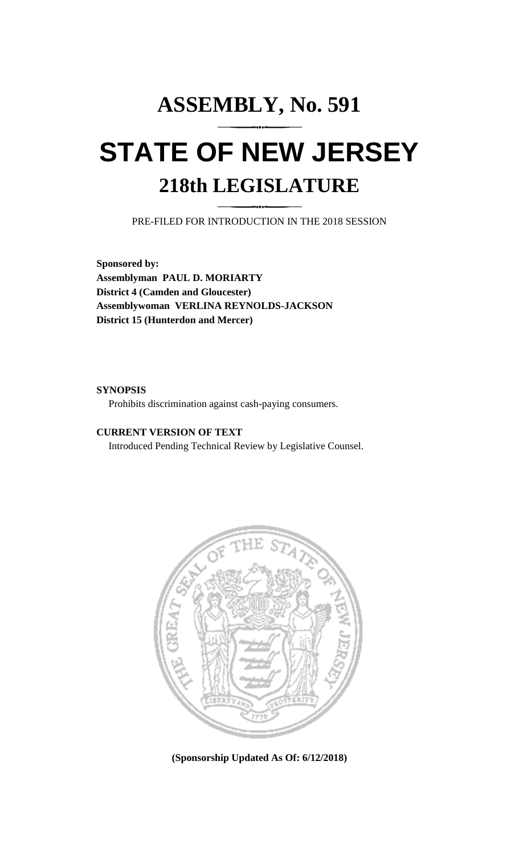## **ASSEMBLY, No. 591 STATE OF NEW JERSEY 218th LEGISLATURE**

PRE-FILED FOR INTRODUCTION IN THE 2018 SESSION

**Sponsored by: Assemblyman PAUL D. MORIARTY District 4 (Camden and Gloucester) Assemblywoman VERLINA REYNOLDS-JACKSON District 15 (Hunterdon and Mercer)**

## **SYNOPSIS**

Prohibits discrimination against cash-paying consumers.

## **CURRENT VERSION OF TEXT**

Introduced Pending Technical Review by Legislative Counsel.



**(Sponsorship Updated As Of: 6/12/2018)**